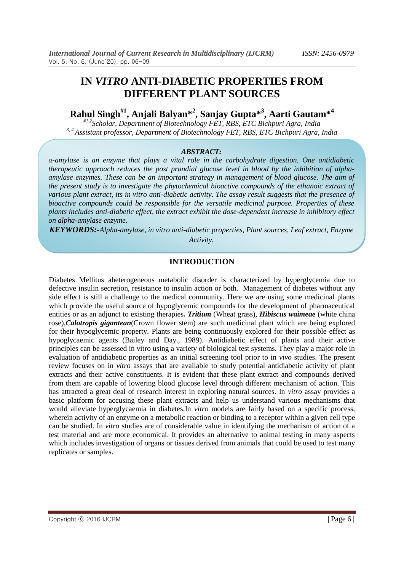# **IN** *VITRO* **ANTI-DIABETIC PROPERTIES FROM DIFFERENT PLANT SOURCES**

**Rahul Singh#1, Anjali Balyan\*<sup>2</sup> , Sanjay Gupta\*<sup>3</sup> , Aarti Gautam\*<sup>4</sup>**

*#1,2Scholar, Department of Biotechnology FET, RBS, ETC Bichpuri Agra, India 3, 4 Assistant professor, Department of Biotechnology FET, RBS, ETC Bichpuri Agra, India*

#### *ABSTRACT:*

*α-amylase is an enzyme that plays a vital role in the carbohydrate digestion. One antidiabetic therapeutic approach reduces the post prandial glucose level in blood by the inhibition of alphaamylase enzymes. These can be an important strategy in management of blood glucose. The aim of the present study is to investigate the phytochemical bioactive compounds of the ethanoic extract of various plant extract, its in vitro anti-diabetic activity. The assay result suggests that the presence of bioactive compounds could be responsible for the versatile medicinal purpose. Properties of these plants includes anti-diabetic effect, the extract exhibit the dose-dependent increase in inhibitory effect on alpha-amylase enzyme.* 

*KEYWORDS:-Alpha-amylase, in vitro anti-diabetic properties, Plant sources, Leaf extract, Enzyme Activity.*

### **INTRODUCTION**

Diabetes Mellitus aheterogeneous metabolic disorder is characterized by hyperglycemia due to defective insulin secretion, resistance to insulin action or both. Management of diabetes without any side effect is still a challenge to the medical community. Here we are using some medicinal plants which provide the useful source of hypoglycemic compounds for the development of pharmaceutical entities or as an adjunct to existing therapies*. Tritium* (Wheat grass), *Hibiscus waimeae* (white china rose),*Calotropis gigantean*(Crown flower stem) are such medicinal plant which are being explored for their hypoglycemic property. Plants are being continuously explored for their possible effect as hypoglycaemic agents (Bailey and Day., 1989). Antidiabetic effect of plants and their active principles can be assessed in vitro using a variety of biological test systems. They play a major role in evaluation of antidiabetic properties as an initial screening tool prior to in *vivo* studies. The present review focuses on in *vitro* assays that are available to study potential antidiabetic activity of plant extracts and their active constituents. It is evident that these plant extract and compounds derived from them are capable of lowering blood glucose level through different mechanism of action. This has attracted a great deal of research interest in exploring natural sources. In *vitro* assay provides a basic platform for accusing these plant extracts and help us understand various mechanisms that would alleviate hyperglycaemia in diabetes.In *vitro* models are fairly based on a specific process, wherein activity of an enzyme on a metabolic reaction or binding to a receptor within a given cell type can be studied. In *vitro* studies are of considerable value in identifying the mechanism of action of a test material and are more economical. It provides an alternative to animal testing in many aspects which includes investigation of organs or tissues derived from animals that could be used to test many replicates or samples.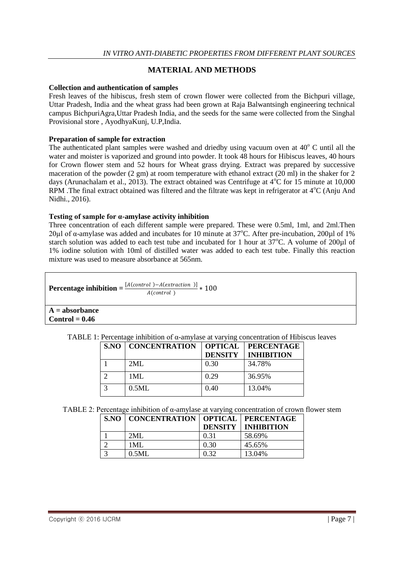# **MATERIAL AND METHODS**

#### **Collection and authentication of samples**

Fresh leaves of the hibiscus, fresh stem of crown flower were collected from the Bichpuri village, Uttar Pradesh, India and the wheat grass had been grown at Raja Balwantsingh engineering technical campus BichpuriAgra,Uttar Pradesh India, and the seeds for the same were collected from the Singhal Provisional store , AyodhyaKunj, U.P,India.

#### **Preparation of sample for extraction**

The authenticated plant samples were washed and driedby using vacuum oven at  $40^{\circ}$  C until all the water and moister is vaporized and ground into powder. It took 48 hours for Hibiscus leaves, 40 hours for Crown flower stem and 52 hours for Wheat grass drying. Extract was prepared by successive maceration of the powder (2 gm) at room temperature with ethanol extract (20 ml) in the shaker for 2 days (Arunachalam et al., 2013). The extract obtained was Centrifuge at  $4^{\circ}$ C for 15 minute at 10,000 RPM .The final extract obtained was filtered and the filtrate was kept in refrigerator at  $4^{\circ}C$  (Anju And Nidhi., 2016).

#### **Testing of sample for α-amylase activity inhibition**

Three concentration of each different sample were prepared. These were 0.5ml, 1ml, and 2ml.Then 20µl of  $\alpha$ -amylase was added and incubates for 10 minute at 37°C. After pre-incubation, 200µl of 1% starch solution was added to each test tube and incubated for 1 hour at  $37^{\circ}$ C. A volume of 200 $\mu$ l of 1% iodine solution with 10ml of distilled water was added to each test tube. Finally this reaction mixture was used to measure absorbance at 565nm.

| Percentage inhibition $=$ $\frac{A}{A}$ | $A = [A (control ) - A (extraction )]$ * 100 |
|-----------------------------------------|----------------------------------------------|
|                                         | A(control)                                   |

**A = absorbance Control = 0.46** 

|  | TABLE 1: Percentage inhibition of $\alpha$ -amylase at varying concentration of Hibiscus leaves |  |  |  |  |
|--|-------------------------------------------------------------------------------------------------|--|--|--|--|
|--|-------------------------------------------------------------------------------------------------|--|--|--|--|

| S.NO | <b>CONCENTRATION</b> | <b>OPTICAL</b><br><b>DENSITY</b> | <b>PERCENTAGE</b><br><b>INHIBITION</b> |
|------|----------------------|----------------------------------|----------------------------------------|
|      | 2ML                  | 0.30                             | 34.78%                                 |
|      | 1ML                  | 0.29                             | 36.95%                                 |
|      | 0.5ML                | 0.40                             | 13.04%                                 |

TABLE 2: Percentage inhibition of  $\alpha$ -amylase at varying concentration of crown flower stem

| S.NO   CONCENTRATION   OPTICAL   PERCENTAGE |      |                             |
|---------------------------------------------|------|-----------------------------|
|                                             |      | <b>DENSITY   INHIBITION</b> |
| 2MI.                                        | 0.31 | 58.69%                      |
| 1MI.                                        | 0.30 | 45.65%                      |
| 0.5ML                                       | 0.32 | 13.04%                      |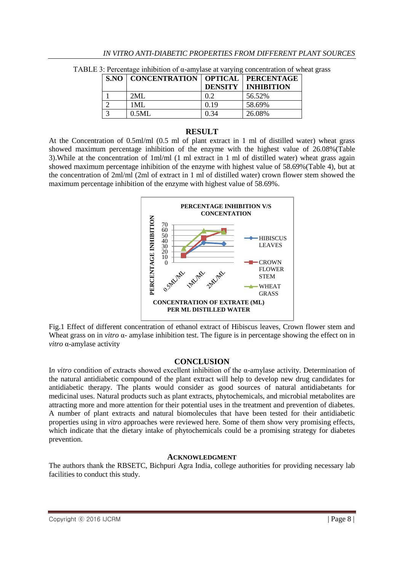| <b>S.NO   CONCENTRATION   OPTICAL   PERCENTAGE</b> |      |                             |
|----------------------------------------------------|------|-----------------------------|
|                                                    |      | <b>DENSITY   INHIBITION</b> |
| 2ML                                                | 0.2  | 56.52%                      |
| 1ML                                                | 0.19 | 58.69%                      |
| 0.5ML                                              | 0.34 | 26.08%                      |

TABLE 3: Percentage inhibition of α-amylase at varying concentration of wheat grass

## **RESULT**

At the Concentration of 0.5ml/ml (0.5 ml of plant extract in 1 ml of distilled water) wheat grass showed maximum percentage inhibition of the enzyme with the highest value of 26.08%(Table 3).While at the concentration of 1ml/ml (1 ml extract in 1 ml of distilled water) wheat grass again showed maximum percentage inhibition of the enzyme with highest value of 58.69%(Table 4), but at the concentration of 2ml/ml (2ml of extract in 1 ml of distilled water) crown flower stem showed the maximum percentage inhibition of the enzyme with highest value of 58.69%.



Fig.1 Effect of different concentration of ethanol extract of Hibiscus leaves, Crown flower stem and Wheat grass on in *vitro* α- amylase inhibition test. The figure is in percentage showing the effect on in *vitro* α-amylase activity

# **CONCLUSION**

I*n vitro* condition of extracts showed excellent inhibition of the α-amylase activity. Determination of the natural antidiabetic compound of the plant extract will help to develop new drug candidates for antidiabetic therapy. The plants would consider as good sources of natural antidiabetants for medicinal uses. Natural products such as plant extracts, phytochemicals, and microbial metabolites are attracting more and more attention for their potential uses in the treatment and prevention of diabetes. A number of plant extracts and natural biomolecules that have been tested for their antidiabetic properties using in *vitro* approaches were reviewed here. Some of them show very promising effects, which indicate that the dietary intake of phytochemicals could be a promising strategy for diabetes prevention.

## **ACKNOWLEDGMENT**

The authors thank the RBSETC, Bichpuri Agra India, college authorities for providing necessary lab facilities to conduct this study.